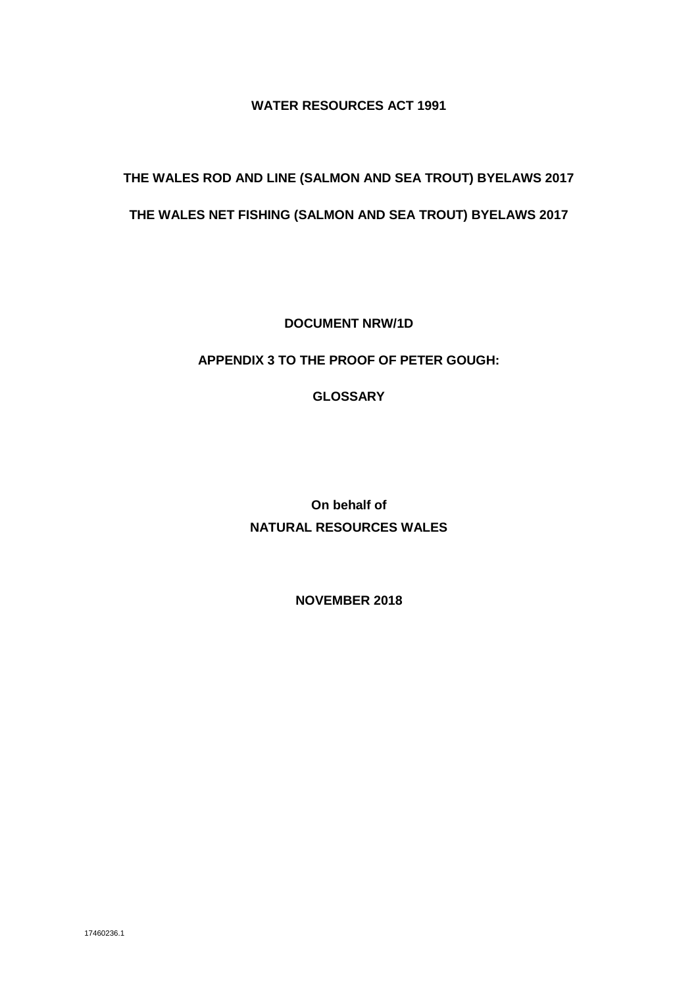#### **WATER RESOURCES ACT 1991**

# **THE WALES ROD AND LINE (SALMON AND SEA TROUT) BYELAWS 2017**

## **THE WALES NET FISHING (SALMON AND SEA TROUT) BYELAWS 2017**

**DOCUMENT NRW/1D**

#### **APPENDIX 3 TO THE PROOF OF PETER GOUGH:**

### **GLOSSARY**

**On behalf of NATURAL RESOURCES WALES**

**NOVEMBER 2018**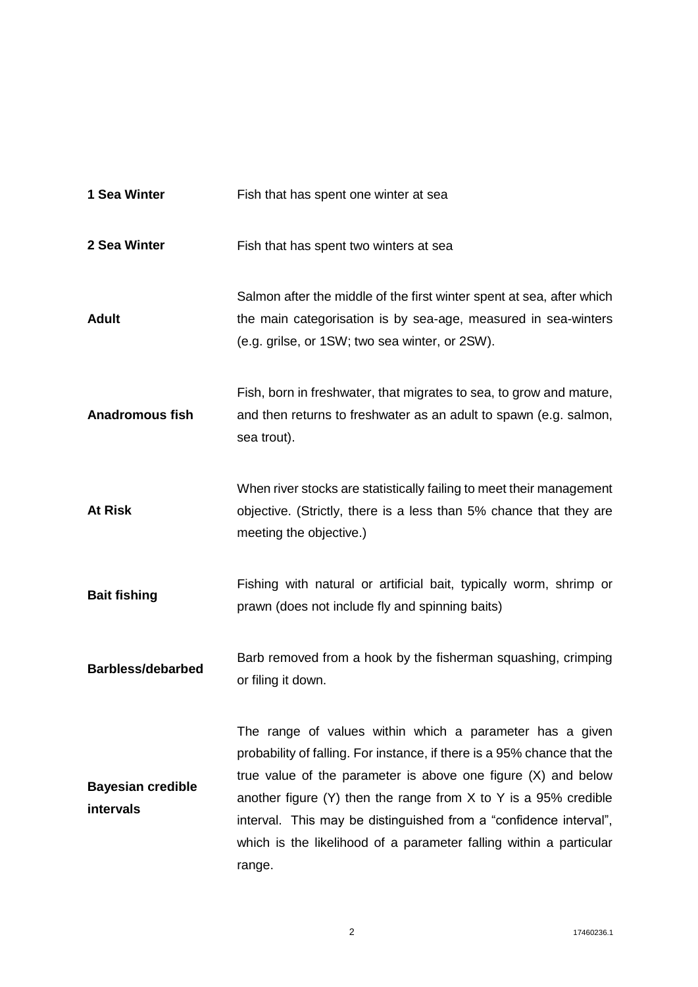| 1 Sea Winter                          | Fish that has spent one winter at sea                                                                                                                                                                                                                                                                                                                                                                                            |
|---------------------------------------|----------------------------------------------------------------------------------------------------------------------------------------------------------------------------------------------------------------------------------------------------------------------------------------------------------------------------------------------------------------------------------------------------------------------------------|
| 2 Sea Winter                          | Fish that has spent two winters at sea                                                                                                                                                                                                                                                                                                                                                                                           |
| <b>Adult</b>                          | Salmon after the middle of the first winter spent at sea, after which<br>the main categorisation is by sea-age, measured in sea-winters<br>(e.g. grilse, or 1SW; two sea winter, or 2SW).                                                                                                                                                                                                                                        |
| <b>Anadromous fish</b>                | Fish, born in freshwater, that migrates to sea, to grow and mature,<br>and then returns to freshwater as an adult to spawn (e.g. salmon,<br>sea trout).                                                                                                                                                                                                                                                                          |
| <b>At Risk</b>                        | When river stocks are statistically failing to meet their management<br>objective. (Strictly, there is a less than 5% chance that they are<br>meeting the objective.)                                                                                                                                                                                                                                                            |
| <b>Bait fishing</b>                   | Fishing with natural or artificial bait, typically worm, shrimp or<br>prawn (does not include fly and spinning baits)                                                                                                                                                                                                                                                                                                            |
| <b>Barbless/debarbed</b>              | Barb removed from a hook by the fisherman squashing, crimping<br>or filing it down.                                                                                                                                                                                                                                                                                                                                              |
| <b>Bayesian credible</b><br>intervals | The range of values within which a parameter has a given<br>probability of falling. For instance, if there is a 95% chance that the<br>true value of the parameter is above one figure $(X)$ and below<br>another figure $(Y)$ then the range from X to Y is a 95% credible<br>interval. This may be distinguished from a "confidence interval",<br>which is the likelihood of a parameter falling within a particular<br>range. |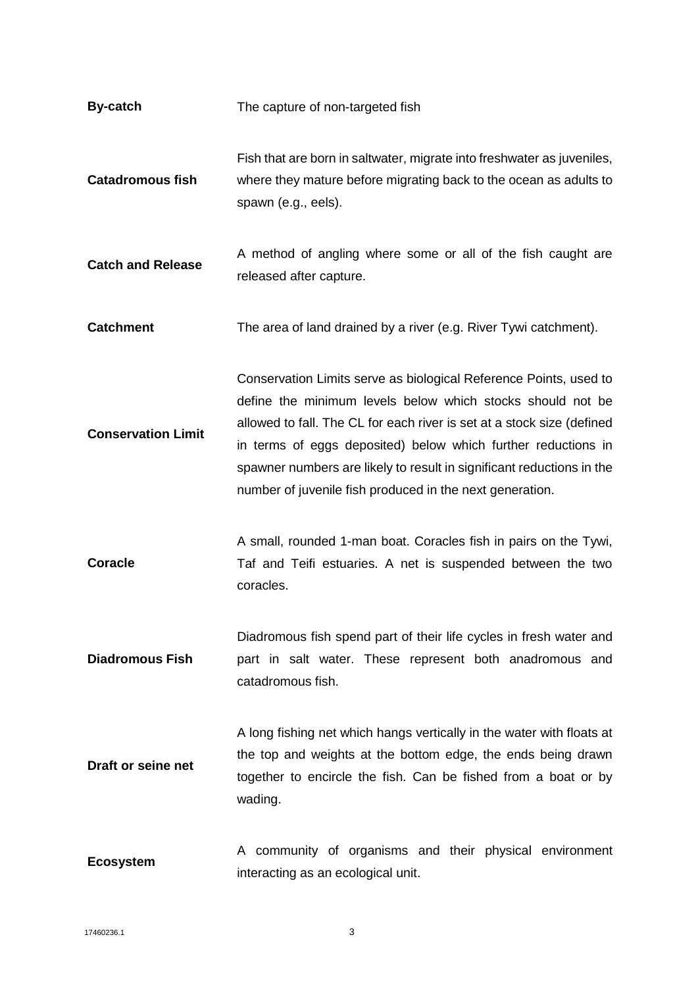| <b>By-catch</b>           | The capture of non-targeted fish                                                                                                                                                                                                                                                                                                                                                                                |
|---------------------------|-----------------------------------------------------------------------------------------------------------------------------------------------------------------------------------------------------------------------------------------------------------------------------------------------------------------------------------------------------------------------------------------------------------------|
| <b>Catadromous fish</b>   | Fish that are born in saltwater, migrate into freshwater as juveniles,<br>where they mature before migrating back to the ocean as adults to<br>spawn (e.g., eels).                                                                                                                                                                                                                                              |
| <b>Catch and Release</b>  | A method of angling where some or all of the fish caught are<br>released after capture.                                                                                                                                                                                                                                                                                                                         |
| <b>Catchment</b>          | The area of land drained by a river (e.g. River Tywi catchment).                                                                                                                                                                                                                                                                                                                                                |
| <b>Conservation Limit</b> | Conservation Limits serve as biological Reference Points, used to<br>define the minimum levels below which stocks should not be<br>allowed to fall. The CL for each river is set at a stock size (defined<br>in terms of eggs deposited) below which further reductions in<br>spawner numbers are likely to result in significant reductions in the<br>number of juvenile fish produced in the next generation. |
| <b>Coracle</b>            | A small, rounded 1-man boat. Coracles fish in pairs on the Tywi,<br>Taf and Teifi estuaries. A net is suspended between the two<br>coracles.                                                                                                                                                                                                                                                                    |
| <b>Diadromous Fish</b>    | Diadromous fish spend part of their life cycles in fresh water and<br>part in salt water. These represent both anadromous and<br>catadromous fish.                                                                                                                                                                                                                                                              |
| Draft or seine net        | A long fishing net which hangs vertically in the water with floats at<br>the top and weights at the bottom edge, the ends being drawn<br>together to encircle the fish. Can be fished from a boat or by<br>wading.                                                                                                                                                                                              |
| <b>Ecosystem</b>          | A community of organisms and their physical environment<br>interacting as an ecological unit.                                                                                                                                                                                                                                                                                                                   |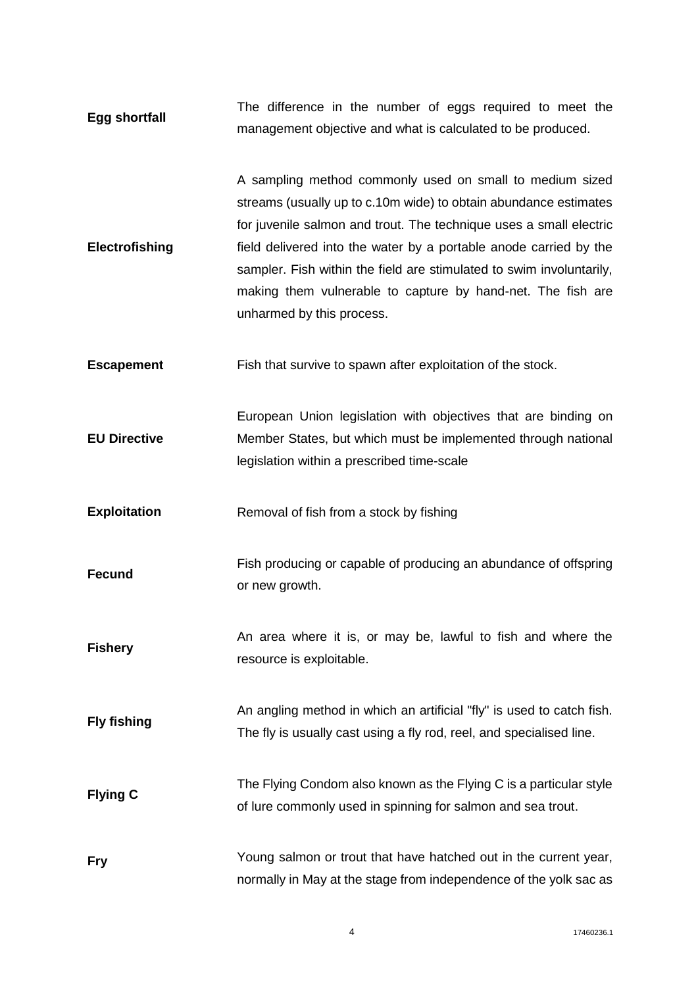**Egg shortfall**  The difference in the number of eggs required to meet the management objective and what is calculated to be produced.

**Electrofishing** A sampling method commonly used on small to medium sized streams (usually up to c.10m wide) to obtain abundance estimates for juvenile salmon and trout. The technique uses a small electric field delivered into the water by a portable anode carried by the sampler. Fish within the field are stimulated to swim involuntarily, making them vulnerable to capture by hand-net. The fish are unharmed by this process.

**Escapement** Fish that survive to spawn after exploitation of the stock.

**EU Directive**  European Union legislation with objectives that are binding on Member States, but which must be implemented through national legislation within a prescribed time-scale

**Exploitation Removal of fish from a stock by fishing** 

**Fecund** Fish producing or capable of producing an abundance of offspring or new growth.

**Fishery**  An area where it is, or may be, lawful to fish and where the resource is exploitable.

**Fly fishing** An angling method in which an artificial "fly" is used to catch fish. The fly is usually cast using a fly rod, reel, and specialised line.

- **Flying C** The Flying Condom also known as the Flying C is a particular style of lure commonly used in spinning for salmon and sea trout.
- **Fry** Young salmon or trout that have hatched out in the current year, normally in May at the stage from independence of the yolk sac as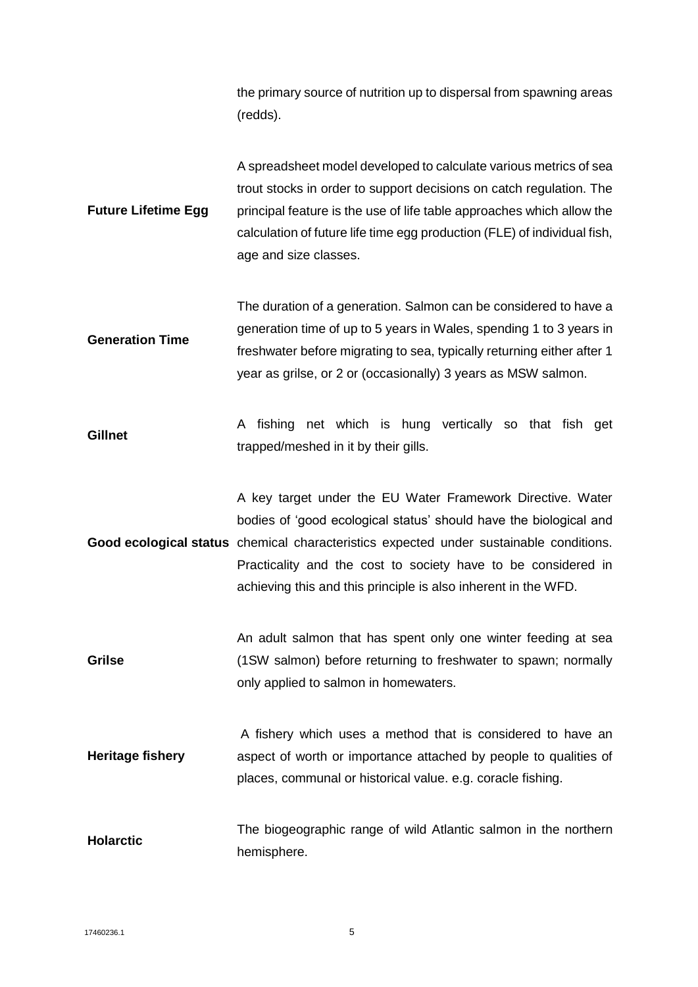the primary source of nutrition up to dispersal from spawning areas (redds).

**Future Lifetime Egg**  A spreadsheet model developed to calculate various metrics of sea trout stocks in order to support decisions on catch regulation. The principal feature is the use of life table approaches which allow the calculation of future life time egg production (FLE) of individual fish, age and size classes.

**Generation Time** The duration of a generation. Salmon can be considered to have a generation time of up to 5 years in Wales, spending 1 to 3 years in freshwater before migrating to sea, typically returning either after 1 year as grilse, or 2 or (occasionally) 3 years as MSW salmon.

**Gillnet**  A fishing net which is hung vertically so that fish get trapped/meshed in it by their gills.

Good ecological status chemical characteristics expected under sustainable conditions. A key target under the EU Water Framework Directive. Water bodies of 'good ecological status' should have the biological and Practicality and the cost to society have to be considered in achieving this and this principle is also inherent in the WFD.

**Grilse**  An adult salmon that has spent only one winter feeding at sea (1SW salmon) before returning to freshwater to spawn; normally only applied to salmon in homewaters.

**Heritage fishery**  A fishery which uses a method that is considered to have an aspect of worth or importance attached by people to qualities of places, communal or historical value. e.g. coracle fishing.

**Holarctic**  The biogeographic range of wild Atlantic salmon in the northern hemisphere.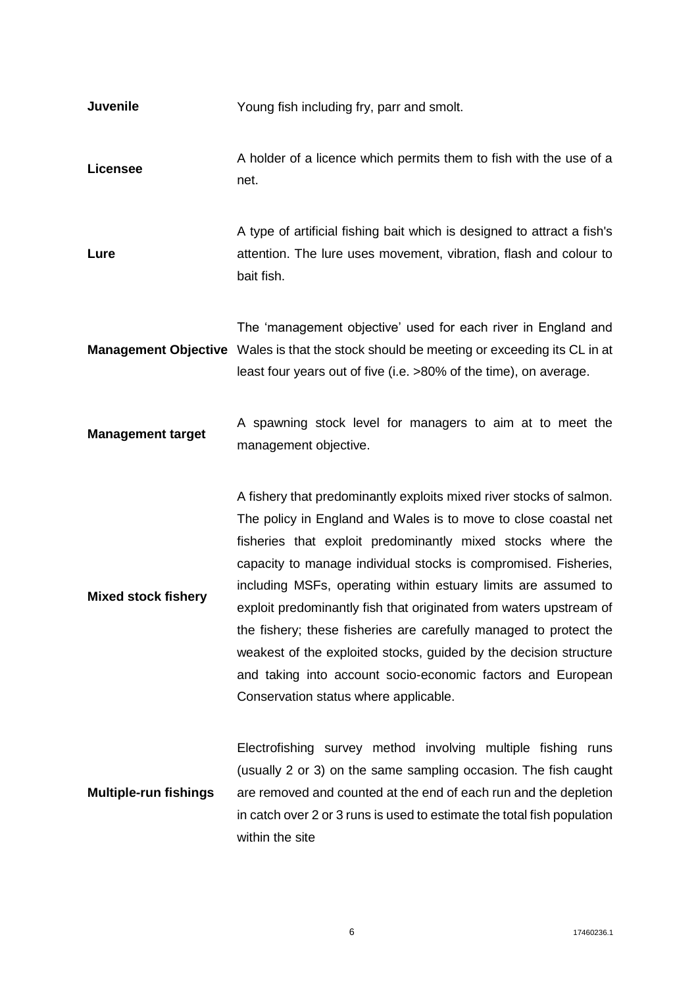| <b>Juvenile</b>              | Young fish including fry, parr and smolt.                                                                                                                                                                                                                                                                                                                                                                                                                                                                                                                                                                                                                          |
|------------------------------|--------------------------------------------------------------------------------------------------------------------------------------------------------------------------------------------------------------------------------------------------------------------------------------------------------------------------------------------------------------------------------------------------------------------------------------------------------------------------------------------------------------------------------------------------------------------------------------------------------------------------------------------------------------------|
| <b>Licensee</b>              | A holder of a licence which permits them to fish with the use of a<br>net.                                                                                                                                                                                                                                                                                                                                                                                                                                                                                                                                                                                         |
| Lure                         | A type of artificial fishing bait which is designed to attract a fish's<br>attention. The lure uses movement, vibration, flash and colour to<br>bait fish.                                                                                                                                                                                                                                                                                                                                                                                                                                                                                                         |
|                              | The 'management objective' used for each river in England and<br><b>Management Objective</b> Wales is that the stock should be meeting or exceeding its CL in at<br>least four years out of five (i.e. >80% of the time), on average.                                                                                                                                                                                                                                                                                                                                                                                                                              |
| <b>Management target</b>     | A spawning stock level for managers to aim at to meet the<br>management objective.                                                                                                                                                                                                                                                                                                                                                                                                                                                                                                                                                                                 |
| <b>Mixed stock fishery</b>   | A fishery that predominantly exploits mixed river stocks of salmon.<br>The policy in England and Wales is to move to close coastal net<br>fisheries that exploit predominantly mixed stocks where the<br>capacity to manage individual stocks is compromised. Fisheries,<br>including MSFs, operating within estuary limits are assumed to<br>exploit predominantly fish that originated from waters upstream of<br>the fishery; these fisheries are carefully managed to protect the<br>weakest of the exploited stocks, guided by the decision structure<br>and taking into account socio-economic factors and European<br>Conservation status where applicable. |
| <b>Multiple-run fishings</b> | Electrofishing survey method involving multiple fishing runs<br>(usually 2 or 3) on the same sampling occasion. The fish caught<br>are removed and counted at the end of each run and the depletion<br>in catch over 2 or 3 runs is used to estimate the total fish population<br>within the site                                                                                                                                                                                                                                                                                                                                                                  |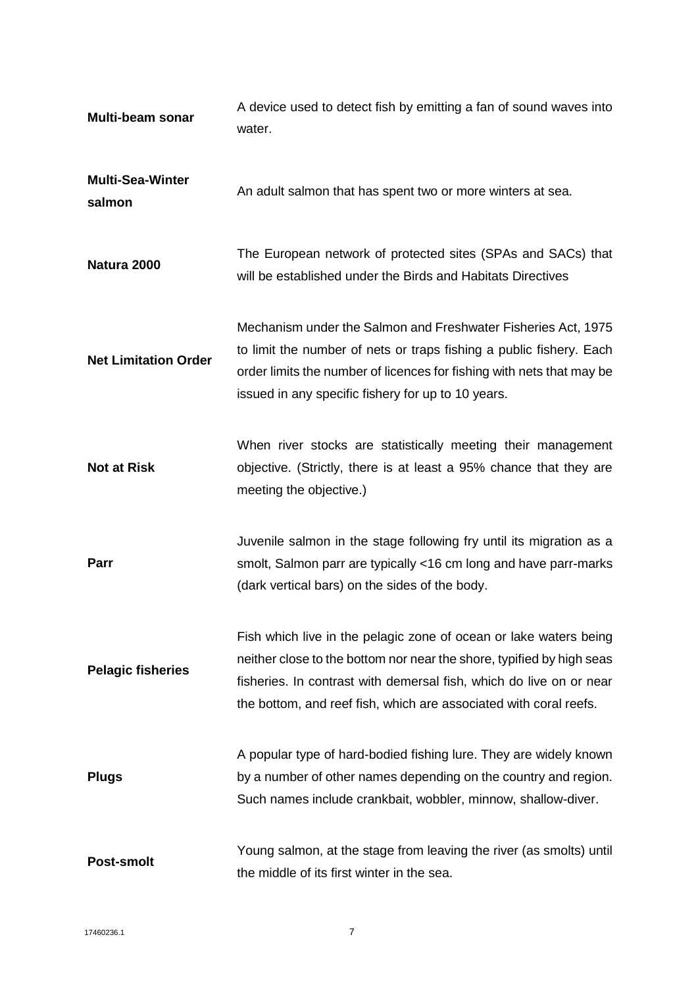| Multi-beam sonar                  | A device used to detect fish by emitting a fan of sound waves into<br>water.                                                                                                                                                                                                           |
|-----------------------------------|----------------------------------------------------------------------------------------------------------------------------------------------------------------------------------------------------------------------------------------------------------------------------------------|
| <b>Multi-Sea-Winter</b><br>salmon | An adult salmon that has spent two or more winters at sea.                                                                                                                                                                                                                             |
| Natura 2000                       | The European network of protected sites (SPAs and SACs) that<br>will be established under the Birds and Habitats Directives                                                                                                                                                            |
| <b>Net Limitation Order</b>       | Mechanism under the Salmon and Freshwater Fisheries Act, 1975<br>to limit the number of nets or traps fishing a public fishery. Each<br>order limits the number of licences for fishing with nets that may be<br>issued in any specific fishery for up to 10 years.                    |
| <b>Not at Risk</b>                | When river stocks are statistically meeting their management<br>objective. (Strictly, there is at least a 95% chance that they are<br>meeting the objective.)                                                                                                                          |
| Parr                              | Juvenile salmon in the stage following fry until its migration as a<br>smolt, Salmon parr are typically <16 cm long and have parr-marks<br>(dark vertical bars) on the sides of the body.                                                                                              |
| <b>Pelagic fisheries</b>          | Fish which live in the pelagic zone of ocean or lake waters being<br>neither close to the bottom nor near the shore, typified by high seas<br>fisheries. In contrast with demersal fish, which do live on or near<br>the bottom, and reef fish, which are associated with coral reefs. |
| <b>Plugs</b>                      | A popular type of hard-bodied fishing lure. They are widely known<br>by a number of other names depending on the country and region.<br>Such names include crankbait, wobbler, minnow, shallow-diver.                                                                                  |
| <b>Post-smolt</b>                 | Young salmon, at the stage from leaving the river (as smolts) until<br>the middle of its first winter in the sea.                                                                                                                                                                      |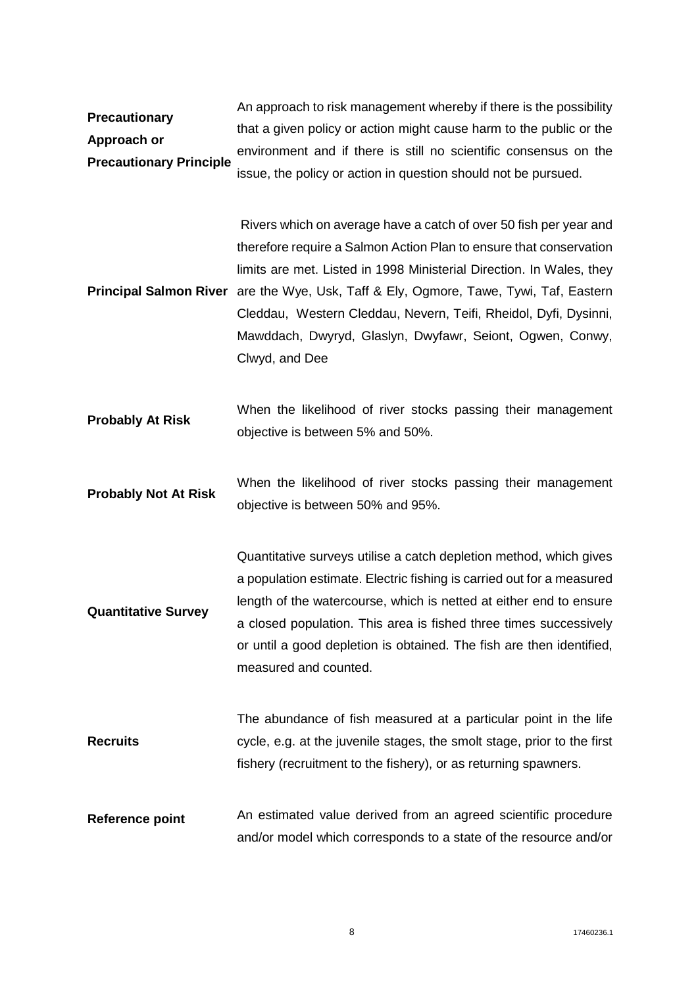**Precautionary Approach or Precautionary Principle** An approach to risk management whereby if there is the possibility that a given policy or action might cause harm to the public or the environment and if there is still no scientific consensus on the issue, the policy or action in question should not be pursued.

Principal Salmon River are the Wye, Usk, Taff & Ely, Ogmore, Tawe, Tywi, Taf, Eastern Rivers which on average have a catch of over 50 fish per year and therefore require a Salmon Action Plan to ensure that conservation limits are met. Listed in 1998 Ministerial Direction. In Wales, they Cleddau, Western Cleddau, Nevern, Teifi, Rheidol, Dyfi, Dysinni, Mawddach, Dwyryd, Glaslyn, Dwyfawr, Seiont, Ogwen, Conwy, Clwyd, and Dee

- **Probably At Risk**  When the likelihood of river stocks passing their management objective is between 5% and 50%.
- **Probably Not At Risk**  When the likelihood of river stocks passing their management objective is between 50% and 95%.

**Quantitative Survey** Quantitative surveys utilise a catch depletion method, which gives a population estimate. Electric fishing is carried out for a measured length of the watercourse, which is netted at either end to ensure a closed population. This area is fished three times successively or until a good depletion is obtained. The fish are then identified, measured and counted.

- **Recruits**  The abundance of fish measured at a particular point in the life cycle, e.g. at the juvenile stages, the smolt stage, prior to the first fishery (recruitment to the fishery), or as returning spawners.
- **Reference point** An estimated value derived from an agreed scientific procedure and/or model which corresponds to a state of the resource and/or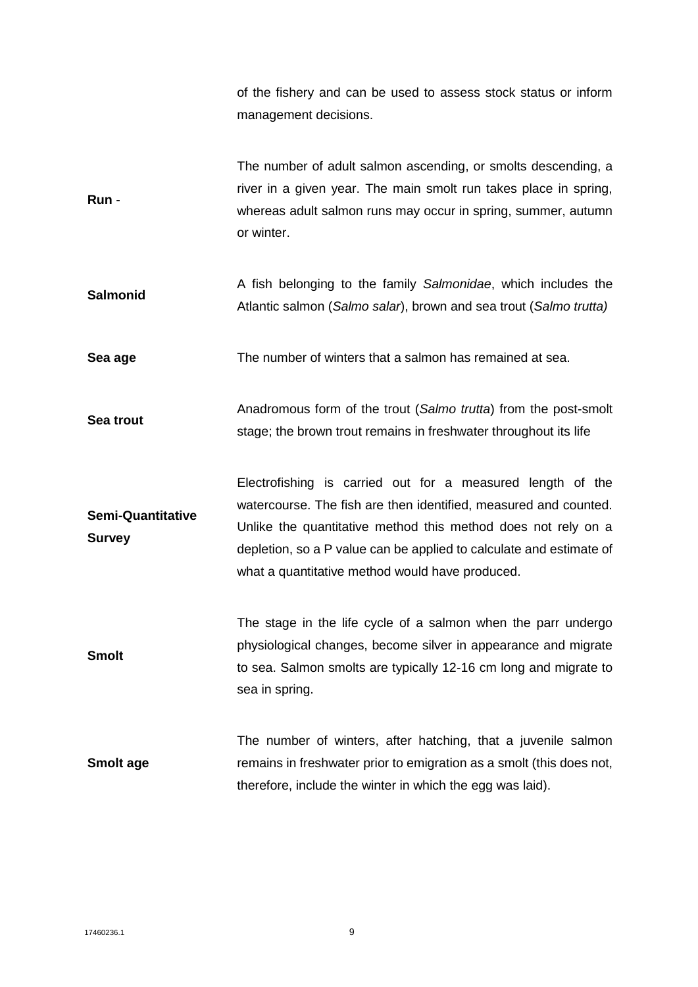of the fishery and can be used to assess stock status or inform management decisions.

**Run** - The number of adult salmon ascending, or smolts descending, a river in a given year. The main smolt run takes place in spring, whereas adult salmon runs may occur in spring, summer, autumn or winter.

**Salmonid**  A fish belonging to the family *Salmonidae*, which includes the Atlantic salmon (*Salmo salar*), brown and sea trout (*Salmo trutta)*

**Sea age** The number of winters that a salmon has remained at sea.

**Sea trout**  Anadromous form of the trout (*Salmo trutta*) from the post-smolt stage; the brown trout remains in freshwater throughout its life

**Semi-Quantitative Survey**  Electrofishing is carried out for a measured length of the watercourse. The fish are then identified, measured and counted. Unlike the quantitative method this method does not rely on a depletion, so a P value can be applied to calculate and estimate of what a quantitative method would have produced.

**Smolt**  The stage in the life cycle of a salmon when the parr undergo physiological changes, become silver in appearance and migrate to sea. Salmon smolts are typically 12-16 cm long and migrate to sea in spring.

**Smolt age**  The number of winters, after hatching, that a juvenile salmon remains in freshwater prior to emigration as a smolt (this does not, therefore, include the winter in which the egg was laid).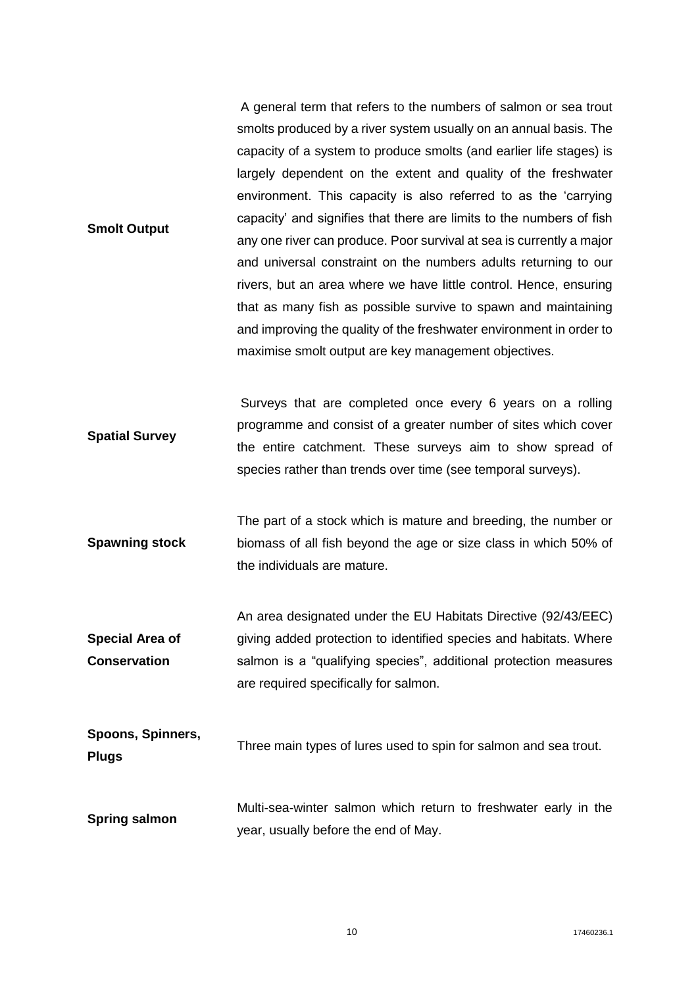**Smolt Output** A general term that refers to the numbers of salmon or sea trout smolts produced by a river system usually on an annual basis. The capacity of a system to produce smolts (and earlier life stages) is largely dependent on the extent and quality of the freshwater environment. This capacity is also referred to as the 'carrying capacity' and signifies that there are limits to the numbers of fish any one river can produce. Poor survival at sea is currently a major and universal constraint on the numbers adults returning to our rivers, but an area where we have little control. Hence, ensuring that as many fish as possible survive to spawn and maintaining and improving the quality of the freshwater environment in order to maximise smolt output are key management objectives.

**Spatial Survey**  Surveys that are completed once every 6 years on a rolling programme and consist of a greater number of sites which cover the entire catchment. These surveys aim to show spread of species rather than trends over time (see temporal surveys).

**Spawning stock**  The part of a stock which is mature and breeding, the number or biomass of all fish beyond the age or size class in which 50% of the individuals are mature.

**Special Area of Conservation**  An area designated under the EU Habitats Directive (92/43/EEC) giving added protection to identified species and habitats. Where salmon is a "qualifying species", additional protection measures are required specifically for salmon.

- **Spoons, Spinners, Plugs** Three main types of lures used to spin for salmon and sea trout.
- **Spring salmon**  Multi-sea-winter salmon which return to freshwater early in the year, usually before the end of May.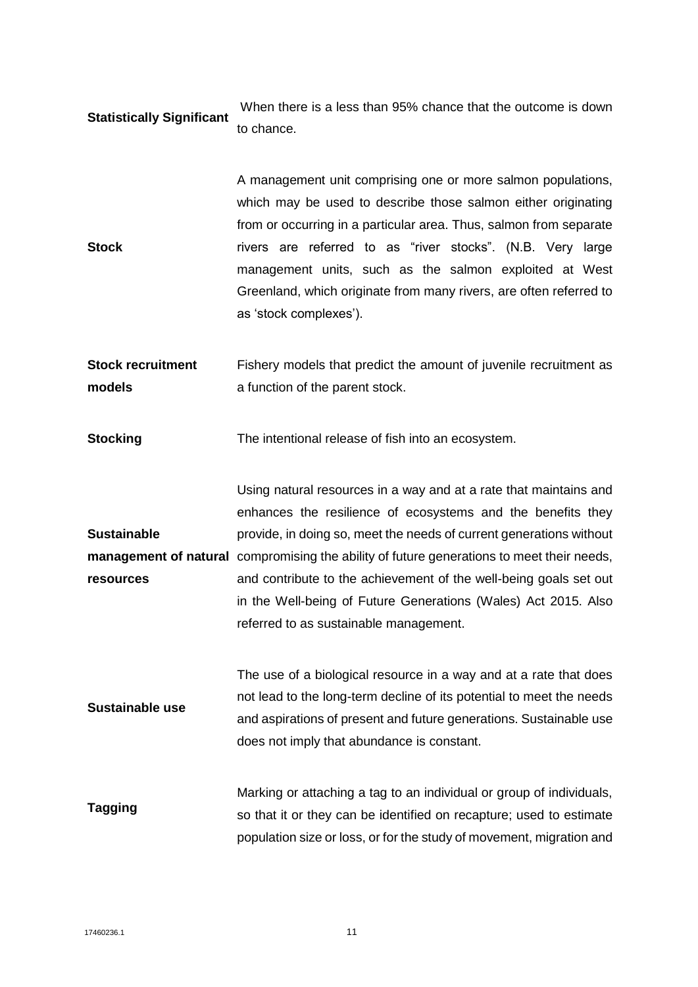#### **Statistically Significant**  When there is a less than 95% chance that the outcome is down to chance.

**Stock**  A management unit comprising one or more salmon populations, which may be used to describe those salmon either originating from or occurring in a particular area. Thus, salmon from separate rivers are referred to as "river stocks". (N.B. Very large management units, such as the salmon exploited at West Greenland, which originate from many rivers, are often referred to as 'stock complexes').

**Stock recruitment models** Fishery models that predict the amount of juvenile recruitment as a function of the parent stock.

**Stocking** The intentional release of fish into an ecosystem.

**Sustainable**  management of natural compromising the ability of future generations to meet their needs, **resources**  Using natural resources in a way and at a rate that maintains and enhances the resilience of ecosystems and the benefits they provide, in doing so, meet the needs of current generations without and contribute to the achievement of the well-being goals set out in the Well-being of Future Generations (Wales) Act 2015. Also referred to as sustainable management.

**Sustainable use** The use of a biological resource in a way and at a rate that does not lead to the long-term decline of its potential to meet the needs and aspirations of present and future generations. Sustainable use does not imply that abundance is constant.

**Tagging** Marking or attaching a tag to an individual or group of individuals, so that it or they can be identified on recapture; used to estimate population size or loss, or for the study of movement, migration and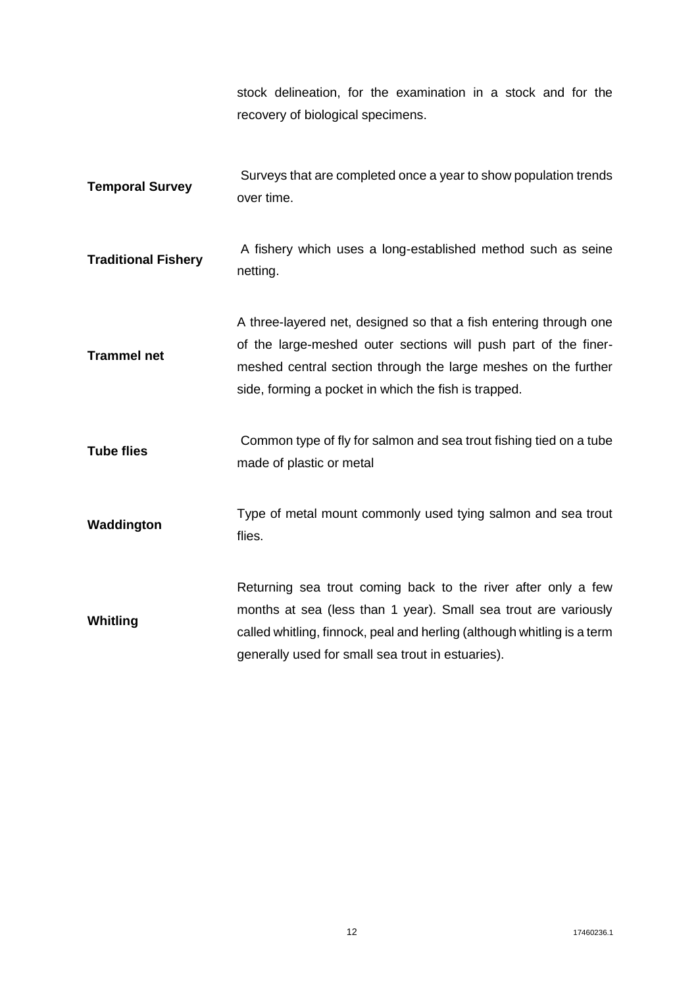stock delineation, for the examination in a stock and for the recovery of biological specimens.

- **Temporal Survey**  Surveys that are completed once a year to show population trends over time.
- **Traditional Fishery**  A fishery which uses a long-established method such as seine netting.
- **Trammel net**  A three-layered net, designed so that a fish entering through one of the large-meshed outer sections will push part of the finermeshed central section through the large meshes on the further side, forming a pocket in which the fish is trapped.
- **Tube flies** Common type of fly for salmon and sea trout fishing tied on a tube made of plastic or metal
- **Waddington** Type of metal mount commonly used tying salmon and sea trout flies.

**Whitling**  Returning sea trout coming back to the river after only a few months at sea (less than 1 year). Small sea trout are variously called whitling, finnock, peal and herling (although whitling is a term generally used for small sea trout in estuaries).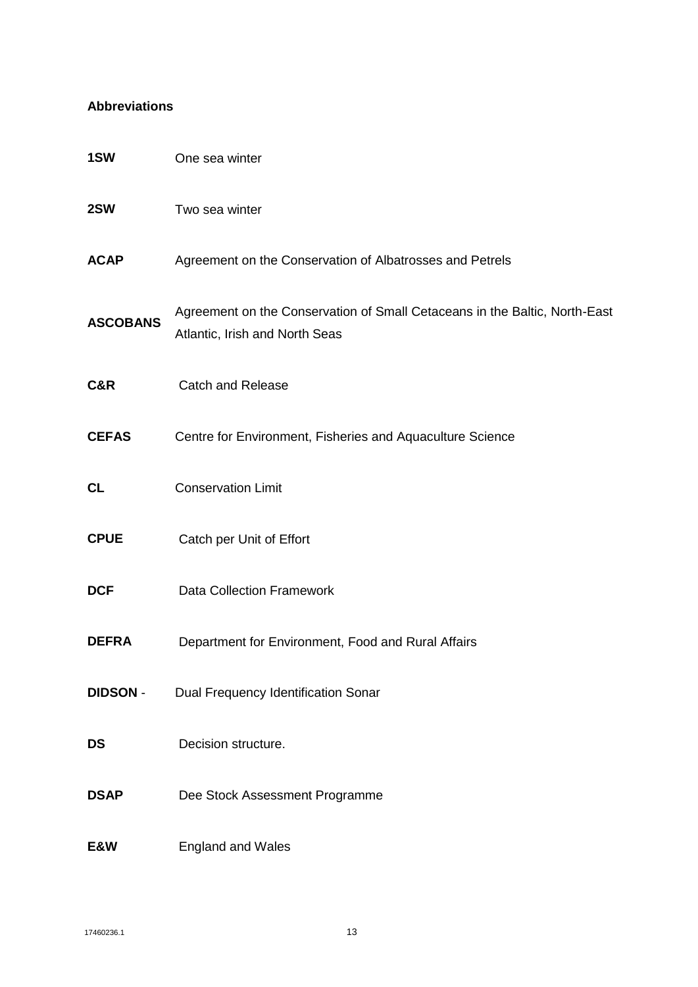#### **Abbreviations**

| 1SW             | One sea winter                                                                                               |
|-----------------|--------------------------------------------------------------------------------------------------------------|
| 2SW             | Two sea winter                                                                                               |
| <b>ACAP</b>     | Agreement on the Conservation of Albatrosses and Petrels                                                     |
| <b>ASCOBANS</b> | Agreement on the Conservation of Small Cetaceans in the Baltic, North-East<br>Atlantic, Irish and North Seas |
| C&R             | <b>Catch and Release</b>                                                                                     |
| <b>CEFAS</b>    | Centre for Environment, Fisheries and Aquaculture Science                                                    |
| <b>CL</b>       | <b>Conservation Limit</b>                                                                                    |
| <b>CPUE</b>     | Catch per Unit of Effort                                                                                     |
| <b>DCF</b>      | <b>Data Collection Framework</b>                                                                             |
| <b>DEFRA</b>    | Department for Environment, Food and Rural Affairs                                                           |
| <b>DIDSON -</b> | Dual Frequency Identification Sonar                                                                          |
| <b>DS</b>       | Decision structure.                                                                                          |
| <b>DSAP</b>     | Dee Stock Assessment Programme                                                                               |
| E&W             | <b>England and Wales</b>                                                                                     |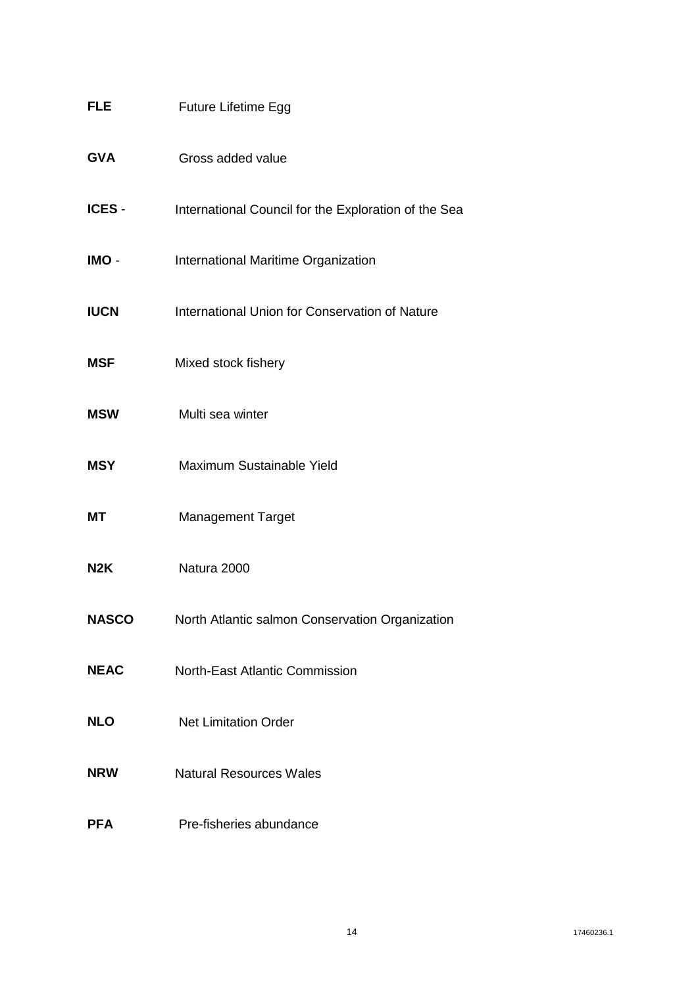| <b>FLE</b>       | <b>Future Lifetime Egg</b>                           |
|------------------|------------------------------------------------------|
| <b>GVA</b>       | Gross added value                                    |
| ICES -           | International Council for the Exploration of the Sea |
| IMO -            | International Maritime Organization                  |
| <b>IUCN</b>      | International Union for Conservation of Nature       |
| <b>MSF</b>       | Mixed stock fishery                                  |
| <b>MSW</b>       | Multi sea winter                                     |
| <b>MSY</b>       | Maximum Sustainable Yield                            |
| <b>MT</b>        | <b>Management Target</b>                             |
| N <sub>2</sub> K | Natura 2000                                          |
| <b>NASCO</b>     | North Atlantic salmon Conservation Organization      |
| <b>NEAC</b>      | <b>North-East Atlantic Commission</b>                |
| <b>NLO</b>       | <b>Net Limitation Order</b>                          |
| <b>NRW</b>       | <b>Natural Resources Wales</b>                       |
| <b>PFA</b>       | Pre-fisheries abundance                              |